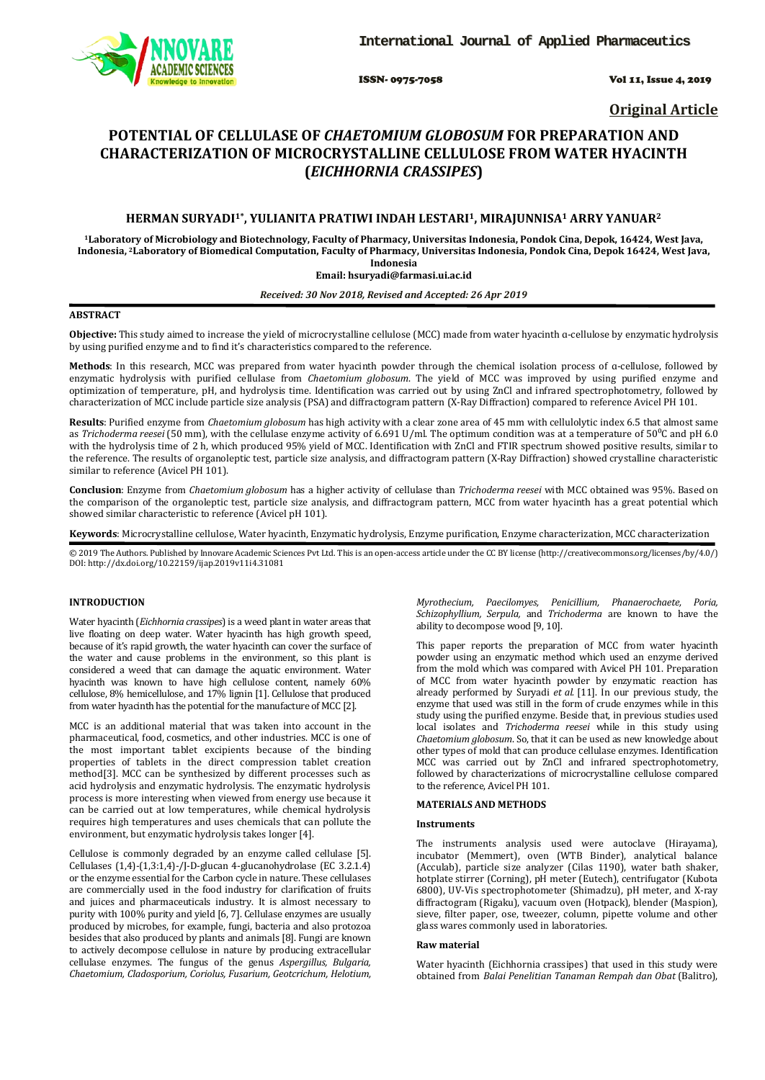

ISSN- 0975-7058 Vol 11, Issue 4, 2019

**Original Article**

# **POTENTIAL OF CELLULASE OF** *CHAETOMIUM GLOBOSUM* **FOR PREPARATION AND CHARACTERIZATION OF MICROCRYSTALLINE CELLULOSE FROM WATER HYACINTH (***EICHHORNIA CRASSIPES***)**

# **HERMAN SURYADI1\*, YULIANITA PRATIWI INDAH LESTARI1, MIRAJUNNISA1 ARRY YANUAR2**

**1Laboratory of Microbiology and Biotechnology, Faculty of Pharmacy, Universitas Indonesia, Pondok Cina, Depok, 16424, West Java, Indonesia, 2 Laboratory of Biomedical Computation, Faculty of Pharmacy, Universitas Indonesia, Pondok Cina, Depok 16424, West Java, Indonesia**

#### **Email: hsuryadi@farmasi.ui.ac.id**

# *Received: 30 Nov 2018, Revised and Accepted: 26 Apr 2019*

# **ABSTRACT**

**Objective:** This study aimed to increase the yield of microcrystalline cellulose (MCC) made from water hyacinth ɑ-cellulose by enzymatic hydrolysis by using purified enzyme and to find it's characteristics compared to the reference.

**Methods**: In this research, MCC was prepared from water hyacinth powder through the chemical isolation process of ɑ-cellulose, followed by enzymatic hydrolysis with purified cellulase from *Chaetomium globosum*. The yield of MCC was improved by using purified enzyme and optimization of temperature, pH, and hydrolysis time. Identification was carried out by using ZnCl and infrared spectrophotometry, followed by characterization of MCC include particle size analysis (PSA) and diffractogram pattern (X-Ray Diffraction) compared to reference Avicel PH 101.

**Results**: Purified enzyme from *Chaetomium globosum* has high activity with a clear zone area of 45 mm with cellulolytic index 6.5 that almost same as *Trichoderma reesei* (50 mm), with the cellulase enzyme activity of 6.691 U/ml. The optimum condition was at a temperature of 50<sup>o</sup>C and pH 6.0 with the hydrolysis time of 2 h, which produced 95% yield of MCC. Identification with ZnCl and FTIR spectrum showed positive results, similar to the reference. The results of organoleptic test, particle size analysis, and diffractogram pattern (X-Ray Diffraction) showed crystalline characteristic similar to reference (Avicel PH 101).

**Conclusion**: Enzyme from *Chaetomium globosum* has a higher activity of cellulase than *Trichoderma reesei* with MCC obtained was 95%. Based on the comparison of the organoleptic test, particle size analysis, and diffractogram pattern, MCC from water hyacinth has a great potential which showed similar characteristic to reference (Avicel pH 101).

**Keywords**: Microcrystalline cellulose, Water hyacinth, Enzymatic hydrolysis, Enzyme purification, Enzyme characterization, MCC characterization

© 2019 The Authors. Published by Innovare Academic Sciences Pvt Ltd. This is an open-access article under the CC BY license [\(http://creativecommons.org/licenses/by/4.0/\)](http://creativecommons.org/licenses/by/4.0/) DOI: http://dx.doi.org/10.22159/ijap.2019v11i4.31081

# **INTRODUCTION**

Water hyacinth (*Eichhornia crassipes*) is a weed plant in water areas that live floating on deep water. Water hyacinth has high growth speed, because of it's rapid growth, the water hyacinth can cover the surface of the water and cause problems in the environment, so this plant is considered a weed that can damage the aquatic environment. Water hyacinth was known to have high cellulose content, namely 60% cellulose, 8% hemicellulose, and 17% lignin [1]. Cellulose that produced from water hyacinth has the potential for the manufacture of MCC [2].

MCC is an additional material that was taken into account in the pharmaceutical, food, cosmetics, and other industries. MCC is one of the most important tablet excipients because of the binding properties of tablets in the direct compression tablet creation method[3]. MCC can be synthesized by different processes such as acid hydrolysis and enzymatic hydrolysis. The enzymatic hydrolysis process is more interesting when viewed from energy use because it can be carried out at low temperatures, while chemical hydrolysis requires high temperatures and uses chemicals that can pollute the environment, but enzymatic hydrolysis takes longer [4].

Cellulose is commonly degraded by an enzyme called cellulase [5]. Cellulases (1,4)-(1,3:1,4)-/J-D-glucan 4-glucanohydrolase (EC 3.2.1.4) or the enzyme essential for the Carbon cycle in nature. These cellulases are commercially used in the food industry for clarification of fruits and juices and pharmaceuticals industry. It is almost necessary to purity with 100% purity and yield [6, 7]. Cellulase enzymes are usually produced by microbes, for example, fungi, bacteria and also protozoa besides that also produced by plants and animals [8]. Fungi are known to actively decompose cellulose in nature by producing extracellular cellulase enzymes. The fungus of the genus *Aspergillus, Bulgaria, Chaetomium, Cladosporium, Coriolus, Fusarium, Geotcrichum, Helotium,* 

*Myrothecium, Paecilomyes, Penicillium, Phanaerochaete, Poria, Schizophyllium, Serpula,* and *Trichoderma* are known to have the ability to decompose wood [9, 10].

This paper reports the preparation of MCC from water hyacinth powder using an enzymatic method which used an enzyme derived from the mold which was compared with Avicel PH 101. Preparation of MCC from water hyacinth powder by enzymatic reaction has already performed by Suryadi *et al.* [11]. In our previous study, the enzyme that used was still in the form of crude enzymes while in this study using the purified enzyme. Beside that, in previous studies used local isolates and *Trichoderma reesei* while in this study using *Chaetomium globosum*. So, that it can be used as new knowledge about other types of mold that can produce cellulase enzymes. Identification MCC was carried out by ZnCl and infrared spectrophotometry, followed by characterizations of microcrystalline cellulose compared to the reference, Avicel PH 101.

# **MATERIALS AND METHODS**

# **Instruments**

The instruments analysis used were autoclave (Hirayama), incubator (Memmert), oven (WTB Binder), analytical balance (Acculab), particle size analyzer (Cilas 1190), water bath shaker, hotplate stirrer (Corning), pH meter (Eutech), centrifugator (Kubota 6800), UV-Vis spectrophotometer (Shimadzu), pH meter, and X-ray diffractogram (Rigaku), vacuum oven (Hotpack), blender (Maspion), sieve, filter paper, ose, tweezer, column, pipette volume and other glass wares commonly used in laboratories.

#### **Raw material**

Water hyacinth (Eichhornia crassipes) that used in this study were obtained from *Balai Penelitian Tanaman Rempah dan Obat* (Balitro),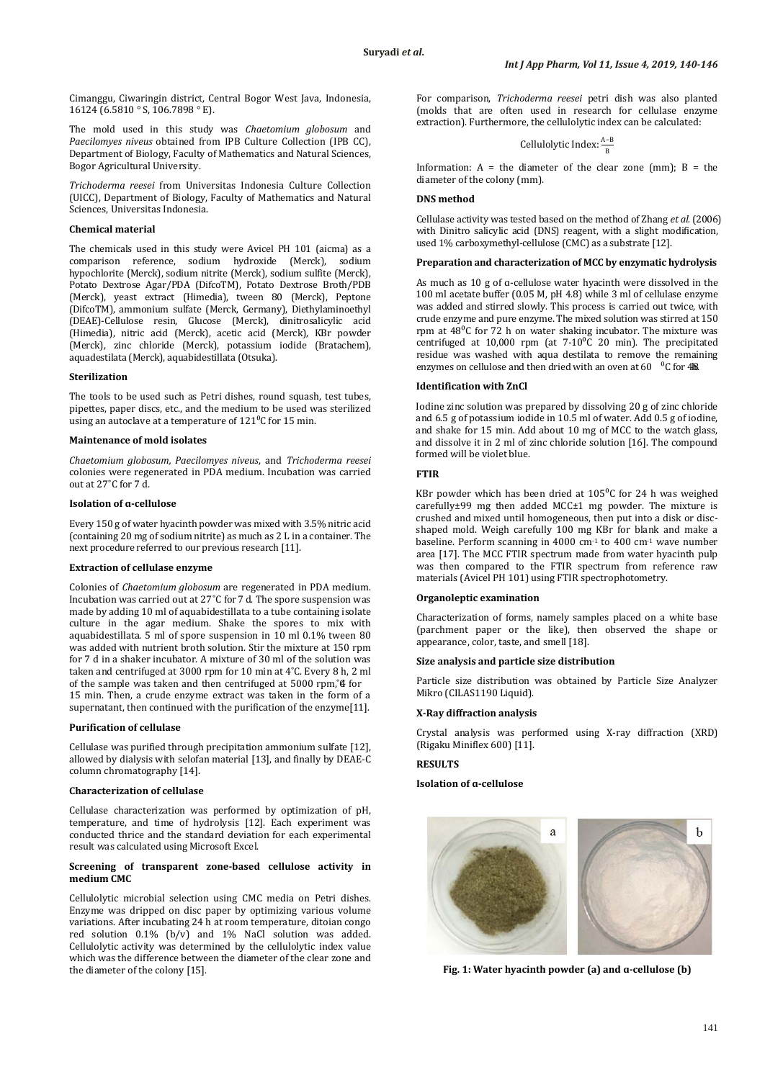Cimanggu, Ciwaringin district, Central Bogor West Java, Indonesia, 16124 (6.5810 ° S, 106.7898 ° E).

The mold used in this study was *Chaetomium globosum* and *Paecilomyes niveus* obtained from IPB Culture Collection (IPB CC), Department of Biology, Faculty of Mathematics and Natural Sciences, Bogor Agricultural University.

*Trichoderma reesei* from Universitas Indonesia Culture Collection (UICC), Department of Biology, Faculty of Mathematics and Natural Sciences, Universitas Indonesia.

# **Chemical material**

The chemicals used in this study were Avicel PH 101 (aicma) as a comparison reference, sodium hydroxide (Merck), sodium hypochlorite (Merck), sodium nitrite (Merck), sodium sulfite (Merck), Potato Dextrose Agar/PDA (DifcoTM), Potato Dextrose Broth/PDB (Merck), yeast extract (Himedia), tween 80 (Merck), Peptone (DifcoTM), ammonium sulfate (Merck, Germany), Diethylaminoethyl (DEAE)-Cellulose resin, Glucose (Merck), dinitrosalicylic acid (Himedia), nitric acid (Merck), acetic acid (Merck), KBr powder (Merck), zinc chloride (Merck), potassium iodide (Bratachem), aquadestilata (Merck), aquabidestillata (Otsuka).

#### **Sterilization**

The tools to be used such as Petri dishes, round squash, test tubes, pipettes, paper discs, etc., and the medium to be used was sterilized using an autoclave at a temperature of  $121^{\circ}$ C for 15 min.

#### **Maintenance of mold isolates**

*Chaetomium globosum, Paecilomyes niveus*, and *Trichoderma reesei* colonies were regenerated in PDA medium. Incubation was carried out at 27˚C for 7 d.

#### **Isolation of ɑ-cellulose**

Every 150 g of water hyacinth powder was mixed with 3.5% nitric acid (containing 20 mg of sodium nitrite) as much as 2 L in a container. The next procedure referred to our previous research [11].

#### **Extraction of cellulase enzyme**

Colonies of *Chaetomium globosum* are regenerated in PDA medium. Incubation was carried out at 27˚C for 7 d. The spore suspension was made by adding 10 ml of aquabidestillata to a tube containing isolate culture in the agar medium. Shake the spores to mix with aquabidestillata. 5 ml of spore suspension in 10 ml 0.1% tween 80 was added with nutrient broth solution. Stir the mixture at 150 rpm for 7 d in a shaker incubator. A mixture of 30 ml of the solution was taken and centrifuged at 3000 rpm for 10 min at 4˚C. Every 8 h, 2 ml of the sample was taken and then centrifuged at 5000 rpm,  $4$  for 15 min. Then, a crude enzyme extract was taken in the form of a supernatant, then continued with the purification of the enzyme[11].

#### **Purification of cellulase**

Cellulase was purified through precipitation ammonium sulfate [12], allowed by dialysis with selofan material [13], and finally by DEAE-C column chromatography [14].

# **Characterization of cellulase**

Cellulase characterization was performed by optimization of pH, temperature, and time of hydrolysis [12]. Each experiment was conducted thrice and the standard deviation for each experimental result was calculated using Microsoft Excel.

#### **Screening of transparent zone-based cellulose activity in medium CMC**

Cellulolytic microbial selection using CMC media on Petri dishes. Enzyme was dripped on disc paper by optimizing various volume variations. After incubating 24 h at room temperature, ditoian congo red solution 0.1% (b/v) and 1% NaCl solution was added. Cellulolytic activity was determined by the cellulolytic index value which was the difference between the diameter of the clear zone and the diameter of the colony [15].

For comparison, *Trichoderma reesei* petri dish was also planted (molds that are often used in research for cellulase enzyme extraction). Furthermore, the cellulolytic index can be calculated:

Cellulolytic Index:  $\frac{A-B}{B}$ 

Information:  $A =$  the diameter of the clear zone (mm);  $B =$  the diameter of the colony (mm).

# **DNS method**

Cellulase activity was tested based on the method of Zhang *et al.* (2006) with Dinitro salicylic acid (DNS) reagent, with a slight modification, used 1% carboxymethyl-cellulose (CMC) as a substrate [12].

# **Preparation and characterization of MCC by enzymatic hydrolysis**

As much as 10 g of ɑ-cellulose water hyacinth were dissolved in the 100 ml acetate buffer (0.05 M, pH 4.8) while 3 ml of cellulase enzyme was added and stirred slowly. This process is carried out twice, with crude enzyme and pure enzyme. The mixed solution was stirred at 150 rpm at  $48^{\circ}$ C for 72 h on water shaking incubator. The mixture was centrifuged at 10,000 rpm (at  $7\text{-}10\degree$ C 20 min). The precipitated residue was washed with aqua destilata to remove the remaining enzymes on cellulose and then dried with an oven at 60  $\degree$ C for 48.

#### **Identification with ZnCl**

Iodine zinc solution was prepared by dissolving 20 g of zinc chloride and 6.5 g of potassium iodide in 10.5 ml of water. Add 0.5 g of iodine, and shake for 15 min. Add about 10 mg of MCC to the watch glass, and dissolve it in 2 ml of zinc chloride solution [16]. The compound formed will be violet blue.

### **FTIR**

KBr powder which has been dried at  $105^{\circ}$ C for 24 h was weighed carefully±99 mg then added MCC±1 mg powder. The mixture is crushed and mixed until homogeneous, then put into a disk or discshaped mold. Weigh carefully 100 mg KBr for blank and make a baseline. Perform scanning in 4000 cm-1 to 400 cm-1 wave number area [17]. The MCC FTIR spectrum made from water hyacinth pulp was then compared to the FTIR spectrum from reference raw materials (Avicel PH 101) using FTIR spectrophotometry.

#### **Organoleptic examination**

Characterization of forms, namely samples placed on a white base (parchment paper or the like), then observed the shape or appearance, color, taste, and smell [18].

#### **Size analysis and particle size distribution**

Particle size distribution was obtained by Particle Size Analyzer Mikro (CILAS1190 Liquid).

## **X-Ray diffraction analysis**

Crystal analysis was performed using X-ray diffraction (XRD) (Rigaku Miniflex 600) [11].

# **RESULTS**

# **Isolation of ɑ-cellulose**



**Fig. 1: Water hyacinth powder (a) and ɑ-cellulose (b)**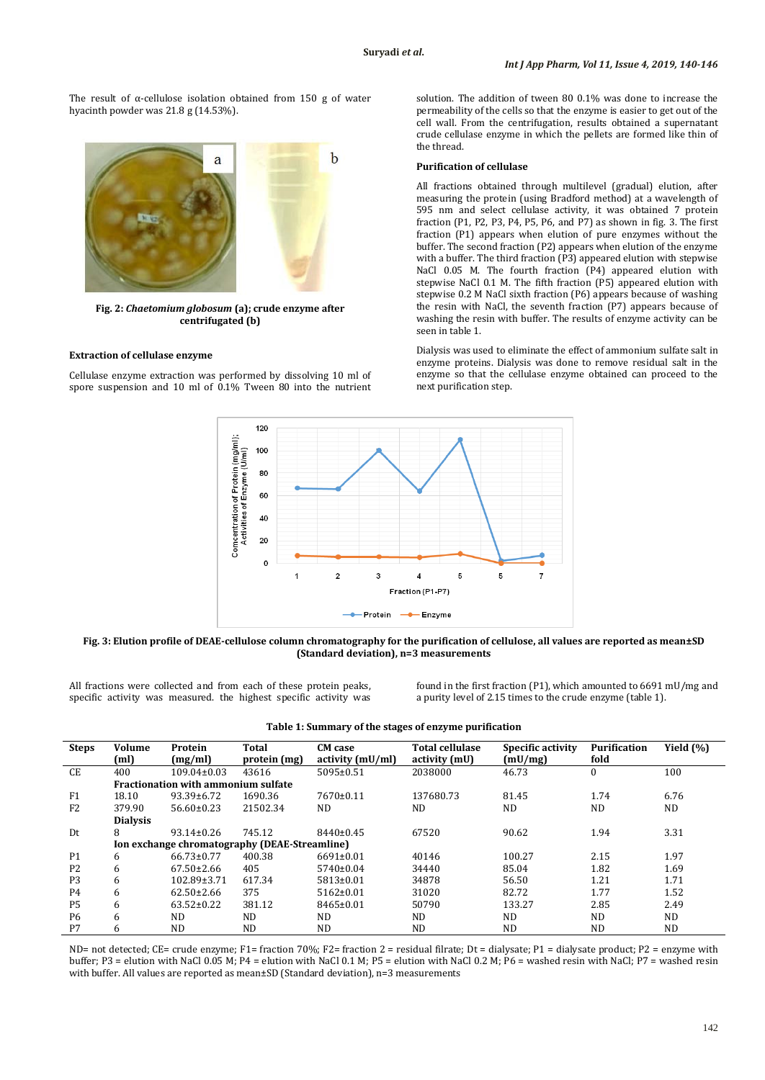The result of  $\alpha$ -cellulose isolation obtained from 150 g of water hyacinth powder was 21.8 g (14.53%).

 $\mathbf b$ a

**Fig. 2:** *Chaetomium globosum* **(a); crude enzyme after centrifugated (b)**

#### **Extraction of cellulase enzyme**

Cellulase enzyme extraction was performed by dissolving 10 ml of spore suspension and 10 ml of 0.1% Tween 80 into the nutrient solution. The addition of tween 80 0.1% was done to increase the permeability of the cells so that the enzyme is easier to get out of the cell wall. From the centrifugation, results obtained a supernatant crude cellulase enzyme in which the pellets are formed like thin of the thread.

# **Purification of cellulase**

All fractions obtained through multilevel (gradual) elution, after measuring the protein (using Bradford method) at a wavelength of 595 nm and select cellulase activity, it was obtained 7 protein fraction (P1, P2, P3, P4, P5, P6, and P7) as shown in fig. 3. The first fraction (P1) appears when elution of pure enzymes without the buffer. The second fraction (P2) appears when elution of the enzyme with a buffer. The third fraction (P3) appeared elution with stepwise NaCl 0.05 M. The fourth fraction (P4) appeared elution with stepwise NaCl 0.1 M. The fifth fraction (P5) appeared elution with stepwise 0.2 M NaCl sixth fraction (P6) appears because of washing the resin with NaCl, the seventh fraction (P7) appears because of washing the resin with buffer. The results of enzyme activity can be seen in table 1.

Dialysis was used to eliminate the effect of ammonium sulfate salt in enzyme proteins. Dialysis was done to remove residual salt in the enzyme so that the cellulase enzyme obtained can proceed to the next purification step.



**Fig. 3: Elution profile of DEAE-cellulose column chromatography for the purification of cellulose, all values are reported as mean±SD (Standard deviation), n=3 measurements**

All fractions were collected and from each of these protein peaks, specific activity was measured. the highest specific activity was

found in the first fraction (P1), which amounted to 6691 mU/mg and a purity level of 2.15 times to the crude enzyme (table 1).

| <b>Steps</b>   | Volume<br>(ml)                                | Protein<br>(mg/ml) | Total<br>protein (mg) | <b>CM</b> case<br>activity (mU/ml) | <b>Total cellulase</b><br>activity (mU) | Specific activity<br>(mU/mg) | Purification<br>fold | Yield (%) |
|----------------|-----------------------------------------------|--------------------|-----------------------|------------------------------------|-----------------------------------------|------------------------------|----------------------|-----------|
| CE.            | 400                                           | $109.04\pm0.03$    | 43616                 | 5095±0.51                          | 2038000                                 | 46.73                        | $\mathbf{0}$         | 100       |
|                | <b>Fractionation with ammonium sulfate</b>    |                    |                       |                                    |                                         |                              |                      |           |
| F <sub>1</sub> | 18.10                                         | $93.39 \pm 6.72$   | 1690.36               | $7670 \pm 0.11$                    | 137680.73                               | 81.45                        | 1.74                 | 6.76      |
| F <sub>2</sub> | 379.90                                        | $56.60 \pm 0.23$   | 21502.34              | ND.                                | ND                                      | <b>ND</b>                    | ND.                  | <b>ND</b> |
|                | <b>Dialysis</b>                               |                    |                       |                                    |                                         |                              |                      |           |
| Dt             | 8                                             | $93.14 \pm 0.26$   | 745.12                | $8440 \pm 0.45$                    | 67520                                   | 90.62                        | 1.94                 | 3.31      |
|                | Ion exchange chromatography (DEAE-Streamline) |                    |                       |                                    |                                         |                              |                      |           |
| <b>P1</b>      | 6                                             | $66.73 \pm 0.77$   | 400.38                | $6691 \pm 0.01$                    | 40146                                   | 100.27                       | 2.15                 | 1.97      |
| P <sub>2</sub> | 6                                             | $67.50 \pm 2.66$   | 405                   | $5740 \pm 0.04$                    | 34440                                   | 85.04                        | 1.82                 | 1.69      |
| P <sub>3</sub> | 6                                             | 102.89±3.71        | 617.34                | $5813 \pm 0.01$                    | 34878                                   | 56.50                        | 1.21                 | 1.71      |
| <b>P4</b>      | 6                                             | $62.50 \pm 2.66$   | 375                   | $5162 \pm 0.01$                    | 31020                                   | 82.72                        | 1.77                 | 1.52      |
| <b>P5</b>      | 6                                             | $63.52 \pm 0.22$   | 381.12                | $8465 \pm 0.01$                    | 50790                                   | 133.27                       | 2.85                 | 2.49      |
| <b>P6</b>      | 6                                             | ND.                | ND.                   | ND.                                | ND                                      | ND                           | ND.                  | <b>ND</b> |
| P7             | 6                                             | ND                 | <b>ND</b>             | ND.                                | ND                                      | <b>ND</b>                    | ND.                  | <b>ND</b> |

| Table 1: Summary of the stages of enzyme purification |  |  |  |
|-------------------------------------------------------|--|--|--|
|-------------------------------------------------------|--|--|--|

ND= not detected; CE= crude enzyme; F1= fraction 70%; F2= fraction 2 = residual filrate; Dt = dialysate; P1 = dialysate product; P2 = enzyme with buffer; P3 = elution with NaCl 0.05 M; P4 = elution with NaCl 0.1 M; P5 = elution with NaCl 0.2 M; P6 = washed resin with NaCl; P7 = washed resin with buffer. All values are reported as mean±SD (Standard deviation), n=3 measurements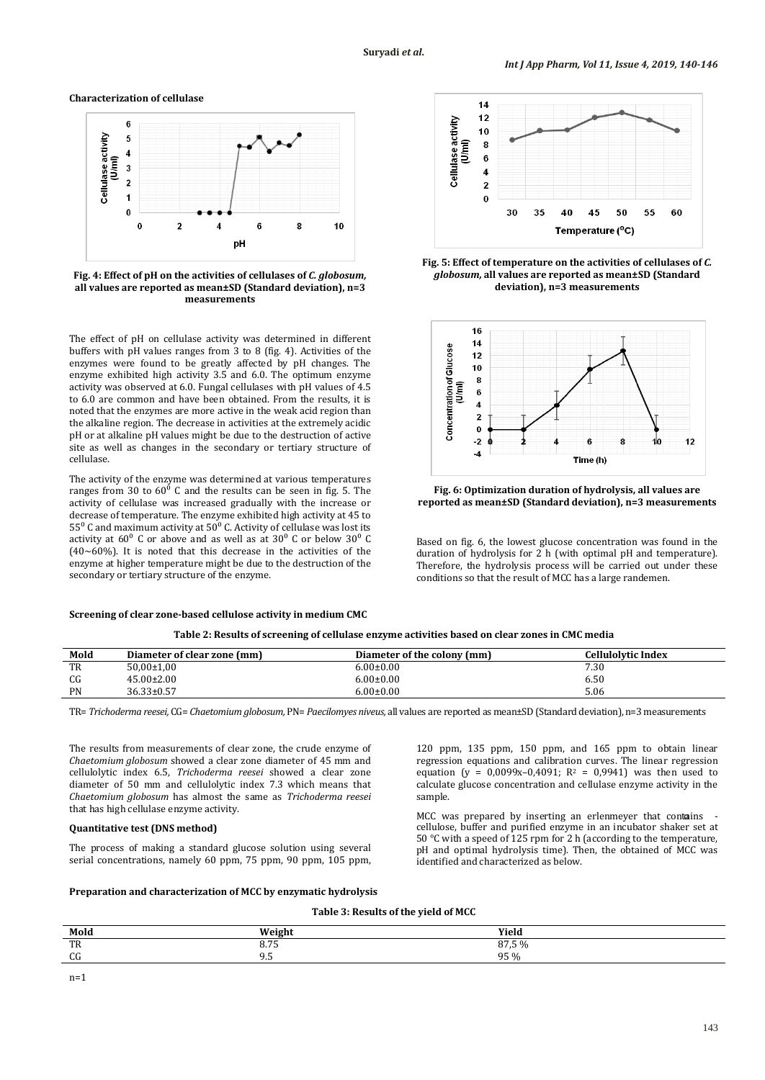**Characterization of cellulase**



**Fig. 4: Effect of pH on the activities of cellulases of** *C. globosum,*  **all values are reported as mean±SD (Standard deviation), n=3 measurements**

The effect of pH on cellulase activity was determined in different buffers with pH values ranges from 3 to 8 (fig. 4). Activities of the enzymes were found to be greatly affected by pH changes. The enzyme exhibited high activity 3.5 and 6.0. The optimum enzyme activity was observed at 6.0. Fungal cellulases with pH values of 4.5 to 6.0 are common and have been obtained. From the results, it is noted that the enzymes are more active in the weak acid region than the alkaline region. The decrease in activities at the extremely acidic pH or at alkaline pH values might be due to the destruction of active site as well as changes in the secondary or tertiary structure of cellulase.

The activity of the enzyme was determined at various temperatures ranges from 30 to  $60^{\circ}$  C and the results can be seen in fig. 5. The activity of cellulase was increased gradually with the increase or decrease of temperature. The enzyme exhibited high activity at 45 to  $55^{\circ}$  C and maximum activity at  $50^{\circ}$  C. Activity of cellulase was lost its activity at  $60^{\circ}$  C or above and as well as at  $30^{\circ}$  C or below  $30^{\circ}$  C  $(40~60%)$ . It is noted that this decrease in the activities of the enzyme at higher temperature might be due to the destruction of the secondary or tertiary structure of the enzyme.





**Fig. 5: Effect of temperature on the activities of cellulases of** *C. globosum,* **all values are reported as mean±SD (Standard deviation), n=3 measurements**



**Fig. 6: Optimization duration of hydrolysis, all values are reported as mean±SD (Standard deviation), n=3 measurements**

Based on fig. 6, the lowest glucose concentration was found in the duration of hydrolysis for 2 h (with optimal pH and temperature). Therefore, the hydrolysis process will be carried out under these conditions so that the result of MCC has a large randemen.

|  | Table 2: Results of screening of cellulase enzyme activities based on clear zones in CMC media |  |
|--|------------------------------------------------------------------------------------------------|--|
|--|------------------------------------------------------------------------------------------------|--|

| Mold      | Diameter of clear zone (mm) | Diameter of the colony (mm) | Cellulolvtic Index |
|-----------|-----------------------------|-----------------------------|--------------------|
| TR        | 50,00±1,00                  | $6.00 \pm 0.00$             | 7.30               |
| CG        | $45.00 \pm 2.00$            | $6.00 \pm 0.00$             | 6.50               |
| <b>PN</b> | $36.33 \pm 0.57$            | $6.00 \pm 0.00$             | 5.06               |

TR= *Trichoderma reesei,* CG= *Chaetomium globosum,* PN= *Paecilomyes niveus,* all values are reported as mean±SD (Standard deviation), n=3 measurements

The results from measurements of clear zone, the crude enzyme of *Chaetomium globosum* showed a clear zone diameter of 45 mm and cellulolytic index 6.5, *Trichoderma reesei* showed a clear zone diameter of 50 mm and cellulolytic index 7.3 which means that *Chaetomium globosum* has almost the same as *Trichoderma reesei* that has high cellulase enzyme activity.

# **Quantitative test (DNS method)**

The process of making a standard glucose solution using several serial concentrations, namely 60 ppm, 75 ppm, 90 ppm, 105 ppm,

120 ppm, 135 ppm, 150 ppm, and 165 ppm to obtain linear regression equations and calibration curves. The linear regression equation (y =  $0,0099x-0,4091$ ;  $R^2 = 0,9941$ ) was then used to calculate glucose concentration and cellulase enzyme activity in the sample.

MCC was prepared by inserting an erlenmeyer that contains cellulose, buffer and purified enzyme in an incubator shaker set at 50 °C with a speed of 125 rpm for 2 h (according to the temperature, pH and optimal hydrolysis time). Then, the obtained of MCC was identified and characterized as below.

### **Preparation and characterization of MCC by enzymatic hydrolysis**

**Table 3: Results of the yield of MCC**

| Mold | Weight                       | Yield |
|------|------------------------------|-------|
| TR   | $\sim$ $\sim$ $\sim$<br>0.7J | 87,5% |
| CG   | $\Omega$<br>ر ر              | 95 %  |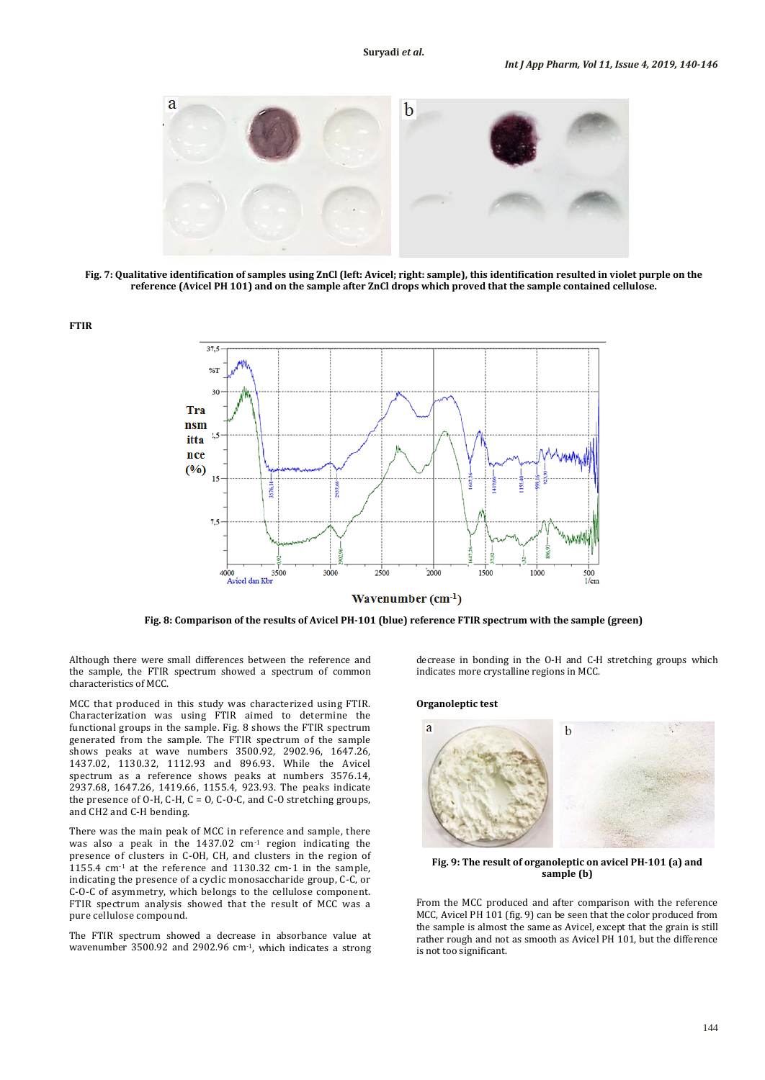

**Fig. 7: Qualitative identification of samples using ZnCl (left: Avicel; right: sample), this identification resulted in violet purple on the reference (Avicel PH 101) and on the sample after ZnCl drops which proved that the sample contained cellulose.**



**Fig. 8: Comparison of the results of Avicel PH-101 (blue) reference FTIR spectrum with the sample (green)**

Although there were small differences between the reference and the sample, the FTIR spectrum showed a spectrum of common characteristics of MCC.

MCC that produced in this study was characterized using FTIR. Characterization was using FTIR aimed to determine the functional groups in the sample. Fig. 8 shows the FTIR spectrum generated from the sample. The FTIR spectrum of the sample shows peaks at wave numbers 3500.92, 2902.96, 1647.26, 1437.02, 1130.32, 1112.93 and 896.93. While the Avicel spectrum as a reference shows peaks at numbers 3576.14, 2937.68, 1647.26, 1419.66, 1155.4, 923.93. The peaks indicate the presence of  $O-H$ ,  $C-H$ ,  $C = O$ ,  $C-O-C$ , and  $C-O$  stretching groups, and CH2 and C-H bending.

There was the main peak of MCC in reference and sample, there was also a peak in the 1437.02 cm-1 region indicating the presence of clusters in C-OH, CH, and clusters in the region of 1155.4 cm-1 at the reference and 1130.32 cm-1 in the sample, indicating the presence of a cyclic monosaccharide group, C-C, or C-O-C of asymmetry, which belongs to the cellulose component. FTIR spectrum analysis showed that the result of MCC was a pure cellulose compound.

The FTIR spectrum showed a decrease in absorbance value at wavenumber 3500.92 and 2902.96 cm -1 , which indicates a strong decrease in bonding in the O-H and C-H stretching groups which indicates more crystalline regions in MCC.

#### **Organoleptic test**



**Fig. 9: The result of organoleptic on avicel PH-101 (a) and sample (b)**

From the MCC produced and after comparison with the reference MCC, Avicel PH 101 (fig. 9) can be seen that the color produced from the sample is almost the same as Avicel, except that the grain is still rather rough and not as smooth as Avicel PH 101, but the difference is not too significant.

**FTIR**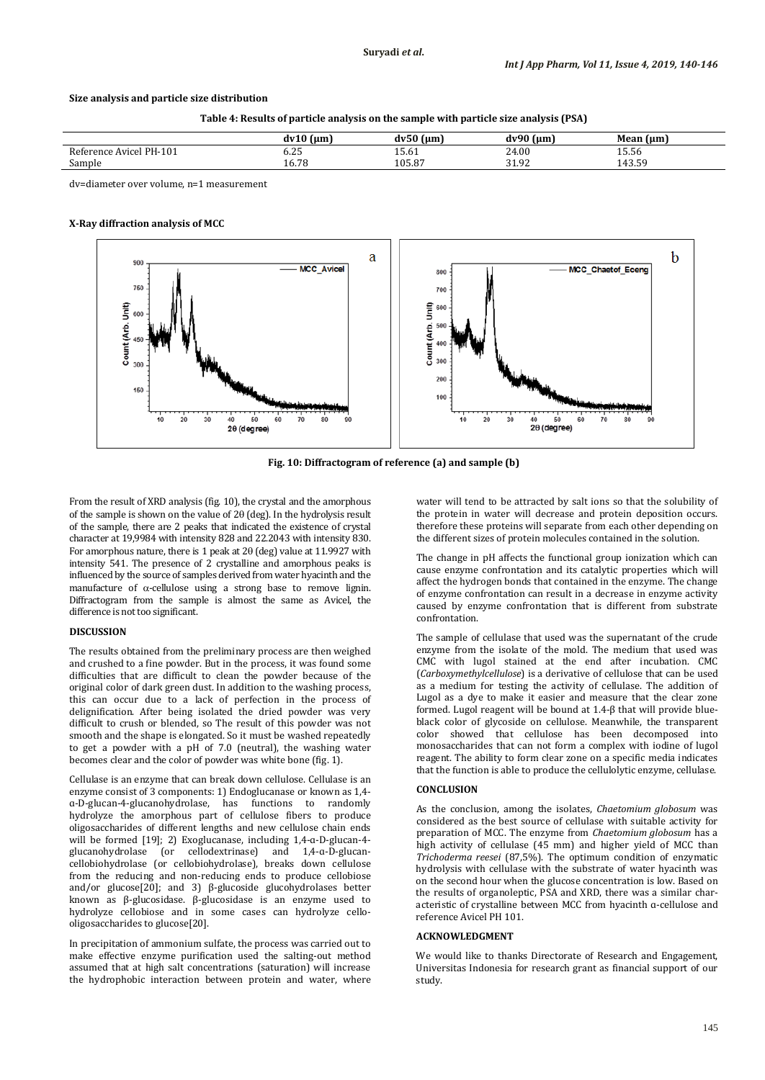# **Size analysis and particle size distribution**

**Table 4: Results of particle analysis on the sample with particle size analysis (PSA)**

|                                     | $\sim$<br>(um               | $  -$<br>l um             | $\sim$ 0.0 $\sim$<br>um<br>dvi | l um<br>Mean.                     |
|-------------------------------------|-----------------------------|---------------------------|--------------------------------|-----------------------------------|
| PH-101<br>Avice<br>2 o t∠<br>rence. | $\sim$ $\sim$<br>0. J<br>__ | TO'OT                     | 21<br>24.00<br>---             | $  -$<br>15.56                    |
| $\sqrt{2}$<br>Sample                | 70<br>10.78                 | $105.8^{\circ}$<br>$\sim$ | 01<br>-Q2<br>.                 | $\sim$ $\sim$<br>$\sim$<br>11 J.J |
|                                     |                             |                           |                                |                                   |

dv=diameter over volume, n=1 measurement

#### **X-Ray diffraction analysis of MCC**



**Fig. 10: Diffractogram of reference (a) and sample (b)**

From the result of XRD analysis (fig. 10), the crystal and the amorphous of the sample is shown on the value of 2θ (deg). In the hydrolysis result of the sample, there are 2 peaks that indicated the existence of crystal character at 19,9984 with intensity 828 and 22.2043 with intensity 830. For amorphous nature, there is 1 peak at 2θ (deg) value at 11.9927 with intensity 541. The presence of 2 crystalline and amorphous peaks is influenced by the source of samples derived from water hyacinth and the manufacture of  $\alpha$ -cellulose using a strong base to remove lignin. Diffractogram from the sample is almost the same as Avicel, the difference is not too significant.

# **DISCUSSION**

The results obtained from the preliminary process are then weighed and crushed to a fine powder. But in the process, it was found some difficulties that are difficult to clean the powder because of the original color of dark green dust. In addition to the washing process, this can occur due to a lack of perfection in the process of delignification. After being isolated the dried powder was very difficult to crush or blended, so The result of this powder was not smooth and the shape is elongated. So it must be washed repeatedly to get a powder with a pH of 7.0 (neutral), the washing water becomes clear and the color of powder was white bone (fig. 1).

Cellulase is an enzyme that can break down cellulose. Cellulase is an enzyme consist of 3 components: 1) Endoglucanase or known as 1,4 ɑ-D-glucan-4-glucanohydrolase, has functions to randomly hydrolyze the amorphous part of cellulose fibers to produce oligosaccharides of different lengths and new cellulose chain ends will be formed [19]; 2) Exoglucanase, including 1,4-ɑ-D-glucan-4 glucanohydrolase (or cellodextrinase) and 1,4-ɑ-D-glucancellobiohydrolase (or cellobiohydrolase), breaks down cellulose from the reducing and non-reducing ends to produce cellobiose and/or glucose[20]; and 3) β-glucoside glucohydrolases better known as β-glucosidase. β-glucosidase is an enzyme used to hydrolyze cellobiose and in some cases can hydrolyze cellooligosaccharides to glucose[20].

In precipitation of ammonium sulfate, the process was carried out to make effective enzyme purification used the salting-out method assumed that at high salt concentrations (saturation) will increase the hydrophobic interaction between protein and water, where

water will tend to be attracted by salt ions so that the solubility of the protein in water will decrease and protein deposition occurs. therefore these proteins will separate from each other depending on the different sizes of protein molecules contained in the solution.

The change in pH affects the functional group ionization which can cause enzyme confrontation and its catalytic properties which will affect the hydrogen bonds that contained in the enzyme. The change of enzyme confrontation can result in a decrease in enzyme activity caused by enzyme confrontation that is different from substrate confrontation.

The sample of cellulase that used was the supernatant of the crude enzyme from the isolate of the mold. The medium that used was CMC with lugol stained at the end after incubation. CMC (*Carboxymethylcellulose*) is a derivative of cellulose that can be used as a medium for testing the activity of cellulase. The addition of Lugol as a dye to make it easier and measure that the clear zone formed. Lugol reagent will be bound at 1.4-β that will provide blueblack color of glycoside on cellulose. Meanwhile, the transparent color showed that cellulose has been decomposed into monosaccharides that can not form a complex with iodine of lugol reagent. The ability to form clear zone on a specific media indicates that the function is able to produce the cellulolytic enzyme, cellulase.

#### **CONCLUSION**

As the conclusion, among the isolates, *Chaetomium globosum* was considered as the best source of cellulase with suitable activity for preparation of MCC. The enzyme from *Chaetomium globosum* has a high activity of cellulase (45 mm) and higher yield of MCC than *Trichoderma reesei* (87,5%). The optimum condition of enzymatic hydrolysis with cellulase with the substrate of water hyacinth was on the second hour when the glucose concentration is low. Based on the results of organoleptic, PSA and XRD, there was a similar characteristic of crystalline between MCC from hyacinth ɑ-cellulose and reference Avicel PH 101.

### **ACKNOWLEDGMENT**

We would like to thanks Directorate of Research and Engagement, Universitas Indonesia for research grant as financial support of our study.